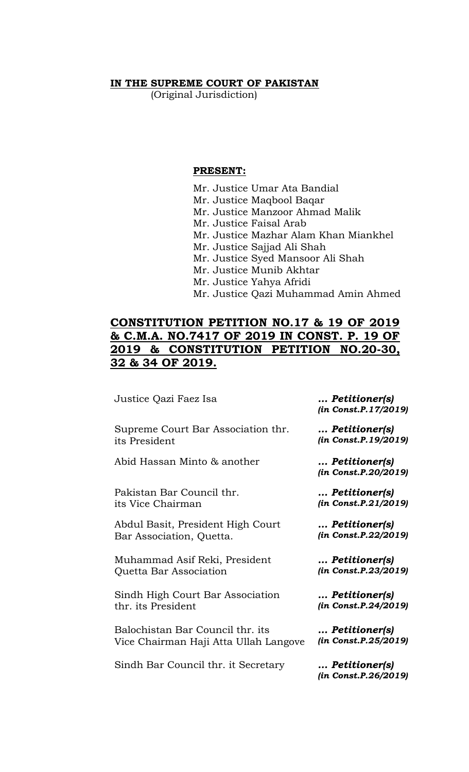#### **IN THE SUPREME COURT OF PAKISTAN**

(Original Jurisdiction)

### **PRESENT:**

Mr. Justice Umar Ata Bandial Mr. Justice Maqbool Baqar Mr. Justice Manzoor Ahmad Malik Mr. Justice Faisal Arab Mr. Justice Mazhar Alam Khan Miankhel Mr. Justice Sajjad Ali Shah Mr. Justice Syed Mansoor Ali Shah Mr. Justice Munib Akhtar Mr. Justice Yahya Afridi Mr. Justice Qazi Muhammad Amin Ahmed

# **CONSTITUTION PETITION NO.17 & 19 OF 2019 & C.M.A. NO.7417 OF 2019 IN CONST. P. 19 OF 2019 & CONSTITUTION PETITION NO.20-30, 32 & 34 OF 2019.**

Justice Qazi Faez Isa *… Petitioner(s)*

Supreme Court Bar Association thr. its President

Abid Hassan Minto & another *… Petitioner(s)*

Pakistan Bar Council thr. its Vice Chairman

Abdul Basit, President High Court Bar Association, Quetta.

Muhammad Asif Reki, President Quetta Bar Association

Sindh High Court Bar Association thr. its President

Balochistan Bar Council thr. its Vice Chairman Haji Atta Ullah Langove

Sindh Bar Council thr. it Secretary *… Petitioner(s)*

*(in Const.P.17/2019)*

*… Petitioner(s) (in Const.P.19/2019)*

*(in Const.P.20/2019)*

*… Petitioner(s) (in Const.P.21/2019)*

*… Petitioner(s) (in Const.P.22/2019)*

*… Petitioner(s) (in Const.P.23/2019)*

*… Petitioner(s) (in Const.P.24/2019)*

*… Petitioner(s) (in Const.P.25/2019)*

*(in Const.P.26/2019)*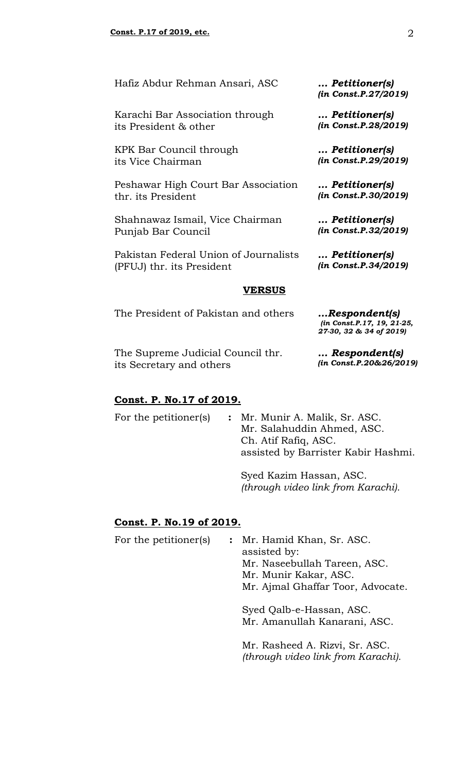Hafiz Abdur Rehman Ansari, ASC *… Petitioner(s)*

Karachi Bar Association through its President & other

KPK Bar Council through its Vice Chairman

Peshawar High Court Bar Association thr. its President

Shahnawaz Ismail, Vice Chairman Punjab Bar Council

Pakistan Federal Union of Journalists (PFUJ) thr. its President

#### **VERSUS**

The President of Pakistan and others *…Respondent(s)*

*(in Const.P.17, 19, 21-25, 27-30, 32 & 34 of 2019)*

*… Respondent(s) (in Const.P.20&26/2019)*

The Supreme Judicial Council thr. its Secretary and others

#### **Const. P. No.17 of 2019.**

For the petitioner(s) **:** Mr. Munir A. Malik, Sr. ASC. Mr. Salahuddin Ahmed, ASC. Ch. Atif Rafiq, ASC. assisted by Barrister Kabir Hashmi. Syed Kazim Hassan, ASC.

*(through video link from Karachi).* 

#### **Const. P. No.19 of 2019.**

For the petitioner(s) **:** Mr. Hamid Khan, Sr. ASC. assisted by: Mr. Naseebullah Tareen, ASC. Mr. Munir Kakar, ASC. Mr. Ajmal Ghaffar Toor, Advocate. Syed Qalb-e-Hassan, ASC. Mr. Amanullah Kanarani, ASC. Mr. Rasheed A. Rizvi, Sr. ASC. *(through video link from Karachi).* 

*(in Const.P.27/2019)*

*… Petitioner(s) (in Const.P.28/2019)*

*… Petitioner(s) (in Const.P.29/2019)*

*… Petitioner(s) (in Const.P.30/2019)*

*… Petitioner(s) (in Const.P.32/2019)*

*… Petitioner(s) (in Const.P.34/2019)*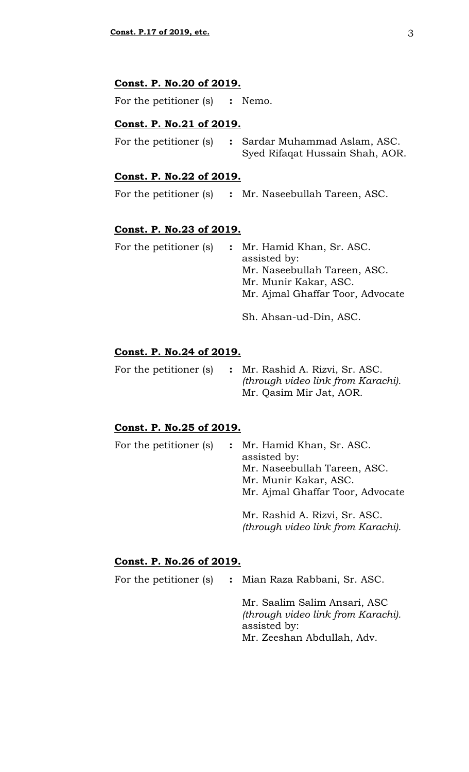## **Const. P. No.20 of 2019.**

For the petitioner (s) **:** Nemo.

#### **Const. P. No.21 of 2019.**

| For the petitioner (s) | : Sardar Muhammad Aslam, ASC.   |  |
|------------------------|---------------------------------|--|
|                        | Syed Rifaqat Hussain Shah, AOR. |  |

## **Const. P. No.22 of 2019.**

For the petitioner (s) **:** Mr. Naseebullah Tareen, ASC.

#### **Const. P. No.23 of 2019.**

|  | For the petitioner (s) : Mr. Hamid Khan, Sr. ASC.<br>assisted by:<br>Mr. Naseebullah Tareen, ASC. |
|--|---------------------------------------------------------------------------------------------------|
|  | Mr. Munir Kakar, ASC.<br>Mr. Ajmal Ghaffar Toor, Advocate                                         |
|  | Sh. Ahsan-ud-Din, ASC.                                                                            |

#### **Const. P. No.24 of 2019.**

|  | For the petitioner (s) : Mr. Rashid A. Rizvi, Sr. ASC. |
|--|--------------------------------------------------------|
|  | (through video link from Karachi).                     |
|  | Mr. Qasim Mir Jat, AOR.                                |

#### **Const. P. No.25 of 2019.**

| For the petitioner (s) | : Mr. Hamid Khan, Sr. ASC.<br>assisted by:<br>Mr. Naseebullah Tareen, ASC.<br>Mr. Munir Kakar, ASC. |  |
|------------------------|-----------------------------------------------------------------------------------------------------|--|
|                        |                                                                                                     |  |
|                        | Mr. Ajmal Ghaffar Toor, Advocate                                                                    |  |
|                        | Mr. Rashid A. Rizvi, Sr. ASC.                                                                       |  |
|                        | (through video link from Karachi).                                                                  |  |

## **Const. P. No.26 of 2019.**

For the petitioner (s) **:** Mian Raza Rabbani, Sr. ASC.

Mr. Saalim Salim Ansari, ASC *(through video link from Karachi).* assisted by: Mr. Zeeshan Abdullah, Adv.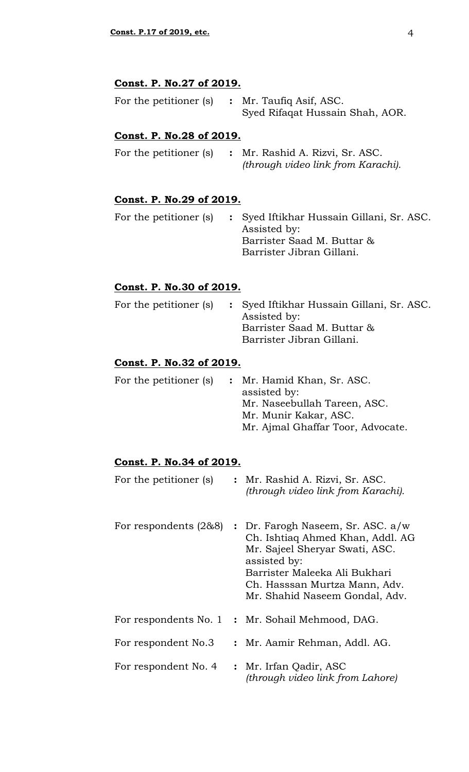## **Const. P. No.27 of 2019.**

| For the petitioner (s) | : Mr. Taufiq Asif, ASC.         |  |
|------------------------|---------------------------------|--|
|                        | Syed Rifaqat Hussain Shah, AOR. |  |

## **Const. P. No.28 of 2019.**

|  | For the petitioner (s) : Mr. Rashid A. Rizvi, Sr. ASC. |
|--|--------------------------------------------------------|
|  | (through video link from Karachi).                     |

## **Const. P. No.29 of 2019.**

|  | For the petitioner (s) : Syed Iftikhar Hussain Gillani, Sr. ASC.<br>Assisted by: |
|--|----------------------------------------------------------------------------------|
|  | Barrister Saad M. Buttar &                                                       |
|  | Barrister Jibran Gillani.                                                        |

## **Const. P. No.30 of 2019.**

|  | For the petitioner (s) : Syed Iftikhar Hussain Gillani, Sr. ASC.<br>Assisted by:<br>Barrister Saad M. Buttar &<br>Barrister Jibran Gillani. |
|--|---------------------------------------------------------------------------------------------------------------------------------------------|
|  |                                                                                                                                             |

## **Const. P. No.32 of 2019.**

| For the petitioner (s) | : Mr. Hamid Khan, Sr. ASC.<br>assisted by:<br>Mr. Naseebullah Tareen, ASC.<br>Mr. Munir Kakar, ASC. |
|------------------------|-----------------------------------------------------------------------------------------------------|
|                        | Mr. Ajmal Ghaffar Toor, Advocate.                                                                   |

## **Const. P. No.34 of 2019.**

| For the petitioner (s) | : Mr. Rashid A. Rizvi, Sr. ASC.<br>(through video link from Karachi).                                                                                                                                                     |
|------------------------|---------------------------------------------------------------------------------------------------------------------------------------------------------------------------------------------------------------------------|
| For respondents (2&8)  | Dr. Farogh Naseem, Sr. ASC. a/w<br>Ch. Ishtiaq Ahmed Khan, Addl. AG<br>Mr. Sajeel Sheryar Swati, ASC.<br>assisted by:<br>Barrister Maleeka Ali Bukhari<br>Ch. Hasssan Murtza Mann, Adv.<br>Mr. Shahid Naseem Gondal, Adv. |
| For respondents No. 1  | : Mr. Sohail Mehmood, DAG.                                                                                                                                                                                                |
| For respondent No.3    | : Mr. Aamir Rehman, Addl. AG.                                                                                                                                                                                             |
| For respondent No. 4   | : Mr. Irfan Qadir, ASC<br>(through video link from Lahore)                                                                                                                                                                |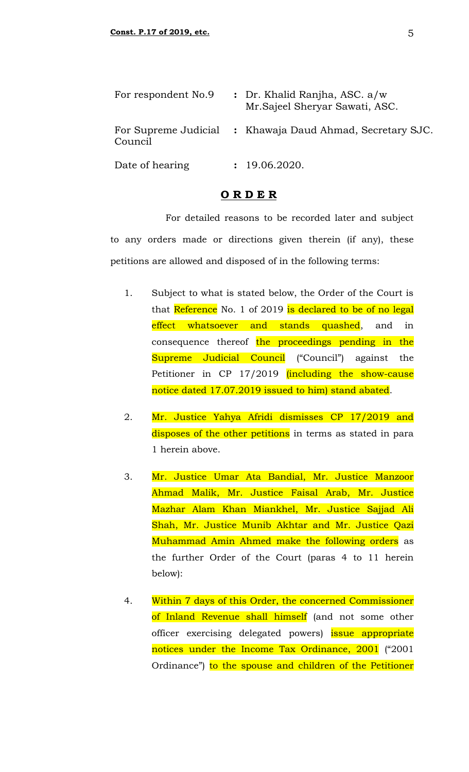| For respondent No.9 | : Dr. Khalid Ranjha, ASC. a/w<br>Mr. Sajeel Sheryar Sawati, ASC. |  |
|---------------------|------------------------------------------------------------------|--|
| Council             | For Supreme Judicial : Khawaja Daud Ahmad, Secretary SJC.        |  |
| Date of hearing     | : 19.06.2020.                                                    |  |

#### **O R D E R**

For detailed reasons to be recorded later and subject to any orders made or directions given therein (if any), these petitions are allowed and disposed of in the following terms:

- 1. Subject to what is stated below, the Order of the Court is that Reference No. 1 of 2019 is declared to be of no legal effect whatsoever and stands quashed, and in consequence thereof the proceedings pending in the Supreme Judicial Council ("Council") against the Petitioner in CP 17/2019 (including the show-cause notice dated 17.07.2019 issued to him) stand abated.
- 2. Mr. Justice Yahya Afridi dismisses CP 17/2019 and disposes of the other petitions in terms as stated in para 1 herein above.
- 3. Mr. Justice Umar Ata Bandial, Mr. Justice Manzoor Ahmad Malik, Mr. Justice Faisal Arab, Mr. Justice Mazhar Alam Khan Miankhel, Mr. Justice Sajjad Ali Shah, Mr. Justice Munib Akhtar and Mr. Justice Qazi Muhammad Amin Ahmed make the following orders as the further Order of the Court (paras 4 to 11 herein below):
- 4. Within 7 days of this Order, the concerned Commissioner of Inland Revenue shall himself (and not some other officer exercising delegated powers) issue appropriate notices under the Income Tax Ordinance, 2001 ("2001 Ordinance") to the spouse and children of the Petitioner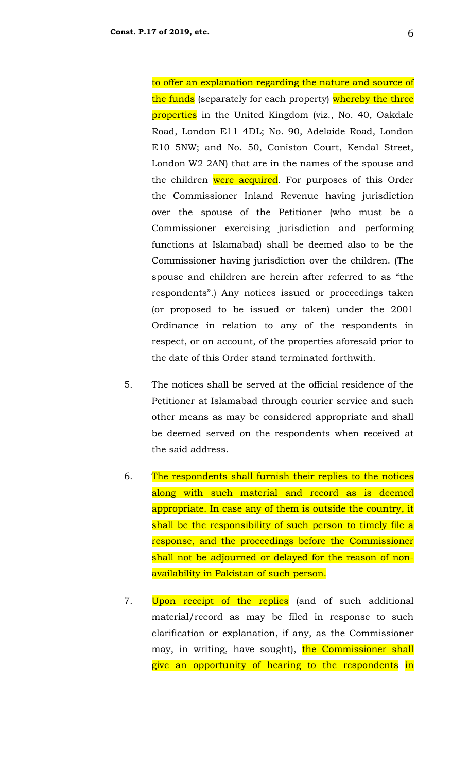to offer an explanation regarding the nature and source of the funds (separately for each property) whereby the three properties in the United Kingdom (viz., No. 40, Oakdale Road, London E11 4DL; No. 90, Adelaide Road, London E10 5NW; and No. 50, Coniston Court, Kendal Street, London W2 2AN) that are in the names of the spouse and the children were acquired. For purposes of this Order the Commissioner Inland Revenue having jurisdiction over the spouse of the Petitioner (who must be a Commissioner exercising jurisdiction and performing functions at Islamabad) shall be deemed also to be the Commissioner having jurisdiction over the children. (The spouse and children are herein after referred to as "the respondents".) Any notices issued or proceedings taken (or proposed to be issued or taken) under the 2001 Ordinance in relation to any of the respondents in respect, or on account, of the properties aforesaid prior to the date of this Order stand terminated forthwith.

- 5. The notices shall be served at the official residence of the Petitioner at Islamabad through courier service and such other means as may be considered appropriate and shall be deemed served on the respondents when received at the said address.
- 6. The respondents shall furnish their replies to the notices along with such material and record as is deemed appropriate. In case any of them is outside the country, it shall be the responsibility of such person to timely file a response, and the proceedings before the Commissioner shall not be adjourned or delayed for the reason of nonavailability in Pakistan of such person.
- 7. Upon receipt of the replies (and of such additional material/record as may be filed in response to such clarification or explanation, if any, as the Commissioner may, in writing, have sought), the Commissioner shall give an opportunity of hearing to the respondents in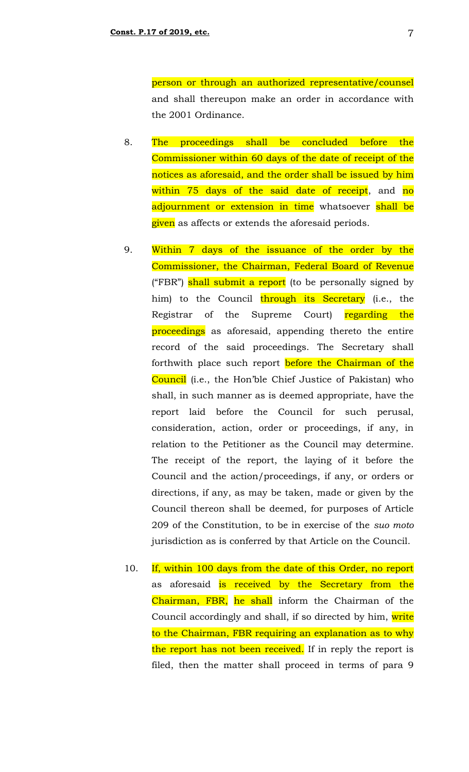person or through an authorized representative/counsel and shall thereupon make an order in accordance with the 2001 Ordinance.

- 8. The proceedings shall be concluded before the Commissioner within 60 days of the date of receipt of the notices as aforesaid, and the order shall be issued by him within 75 days of the said date of receipt, and no adjournment or extension in time whatsoever shall be given as affects or extends the aforesaid periods.
- 9. Within 7 days of the issuance of the order by the Commissioner, the Chairman, Federal Board of Revenue ("FBR") shall submit a report (to be personally signed by him) to the Council through its Secretary (i.e., the Registrar of the Supreme Court) regarding the proceedings as aforesaid, appending thereto the entire record of the said proceedings. The Secretary shall forthwith place such report before the Chairman of the Council (i.e., the Hon'ble Chief Justice of Pakistan) who shall, in such manner as is deemed appropriate, have the report laid before the Council for such perusal, consideration, action, order or proceedings, if any, in relation to the Petitioner as the Council may determine. The receipt of the report, the laying of it before the Council and the action/proceedings, if any, or orders or directions, if any, as may be taken, made or given by the Council thereon shall be deemed, for purposes of Article 209 of the Constitution, to be in exercise of the *suo moto* jurisdiction as is conferred by that Article on the Council.
- 10. If, within 100 days from the date of this Order, no report as aforesaid is received by the Secretary from the Chairman, FBR, he shall inform the Chairman of the Council accordingly and shall, if so directed by him, write to the Chairman, FBR requiring an explanation as to why the report has not been received. If in reply the report is filed, then the matter shall proceed in terms of para 9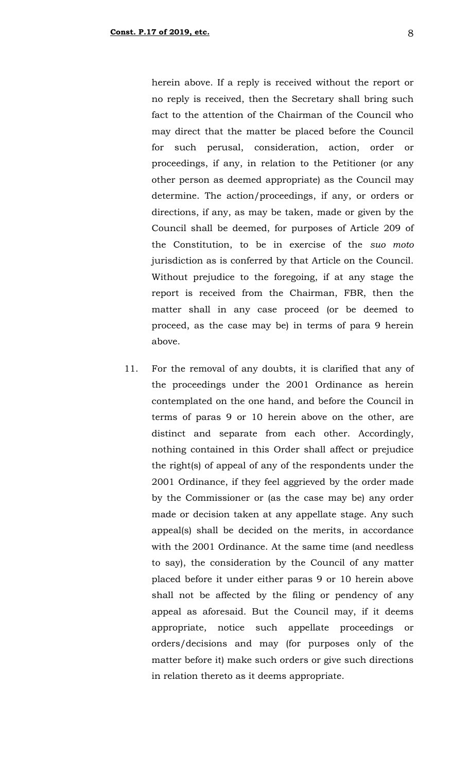herein above. If a reply is received without the report or no reply is received, then the Secretary shall bring such fact to the attention of the Chairman of the Council who may direct that the matter be placed before the Council for such perusal, consideration, action, order or proceedings, if any, in relation to the Petitioner (or any other person as deemed appropriate) as the Council may determine. The action/proceedings, if any, or orders or directions, if any, as may be taken, made or given by the Council shall be deemed, for purposes of Article 209 of the Constitution, to be in exercise of the *suo moto* jurisdiction as is conferred by that Article on the Council. Without prejudice to the foregoing, if at any stage the report is received from the Chairman, FBR, then the matter shall in any case proceed (or be deemed to proceed, as the case may be) in terms of para 9 herein above.

11. For the removal of any doubts, it is clarified that any of the proceedings under the 2001 Ordinance as herein contemplated on the one hand, and before the Council in terms of paras 9 or 10 herein above on the other, are distinct and separate from each other. Accordingly, nothing contained in this Order shall affect or prejudice the right(s) of appeal of any of the respondents under the 2001 Ordinance, if they feel aggrieved by the order made by the Commissioner or (as the case may be) any order made or decision taken at any appellate stage. Any such appeal(s) shall be decided on the merits, in accordance with the 2001 Ordinance. At the same time (and needless to say), the consideration by the Council of any matter placed before it under either paras 9 or 10 herein above shall not be affected by the filing or pendency of any appeal as aforesaid. But the Council may, if it deems appropriate, notice such appellate proceedings or orders/decisions and may (for purposes only of the matter before it) make such orders or give such directions in relation thereto as it deems appropriate.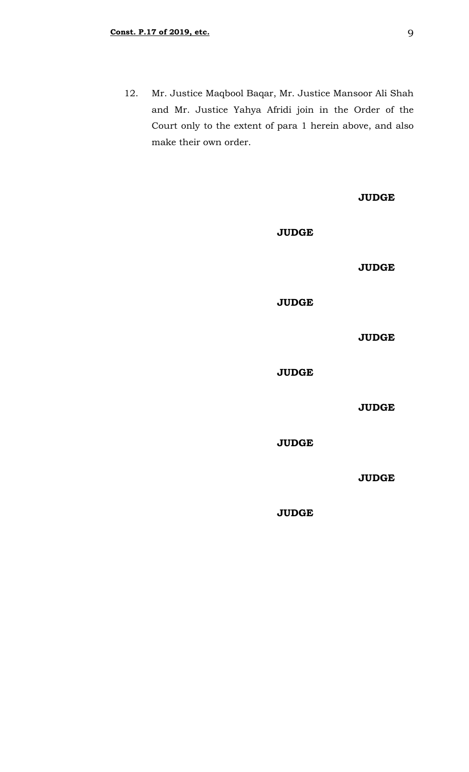12. Mr. Justice Maqbool Baqar, Mr. Justice Mansoor Ali Shah and Mr. Justice Yahya Afridi join in the Order of the Court only to the extent of para 1 herein above, and also make their own order.

|              | <b>JUDGE</b> |
|--------------|--------------|
| <b>JUDGE</b> |              |
|              | <b>JUDGE</b> |
| <b>JUDGE</b> |              |
|              | <b>JUDGE</b> |
| <b>JUDGE</b> |              |
|              | <b>JUDGE</b> |
| <b>JUDGE</b> |              |
|              | <b>JUDGE</b> |
| <b>JUDGE</b> |              |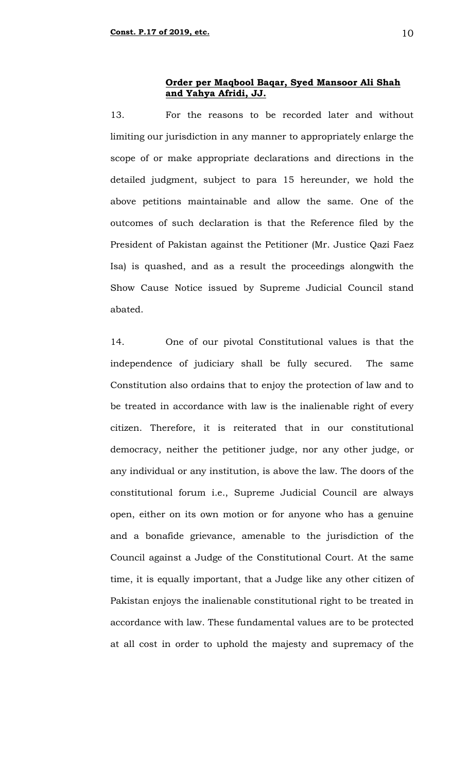13. For the reasons to be recorded later and without limiting our jurisdiction in any manner to appropriately enlarge the scope of or make appropriate declarations and directions in the detailed judgment, subject to para 15 hereunder, we hold the above petitions maintainable and allow the same. One of the outcomes of such declaration is that the Reference filed by the President of Pakistan against the Petitioner (Mr. Justice Qazi Faez Isa) is quashed, and as a result the proceedings alongwith the Show Cause Notice issued by Supreme Judicial Council stand abated.

14. One of our pivotal Constitutional values is that the independence of judiciary shall be fully secured. The same Constitution also ordains that to enjoy the protection of law and to be treated in accordance with law is the inalienable right of every citizen. Therefore, it is reiterated that in our constitutional democracy, neither the petitioner judge, nor any other judge, or any individual or any institution, is above the law. The doors of the constitutional forum i.e., Supreme Judicial Council are always open, either on its own motion or for anyone who has a genuine and a bonafide grievance, amenable to the jurisdiction of the Council against a Judge of the Constitutional Court. At the same time, it is equally important, that a Judge like any other citizen of Pakistan enjoys the inalienable constitutional right to be treated in accordance with law. These fundamental values are to be protected at all cost in order to uphold the majesty and supremacy of the